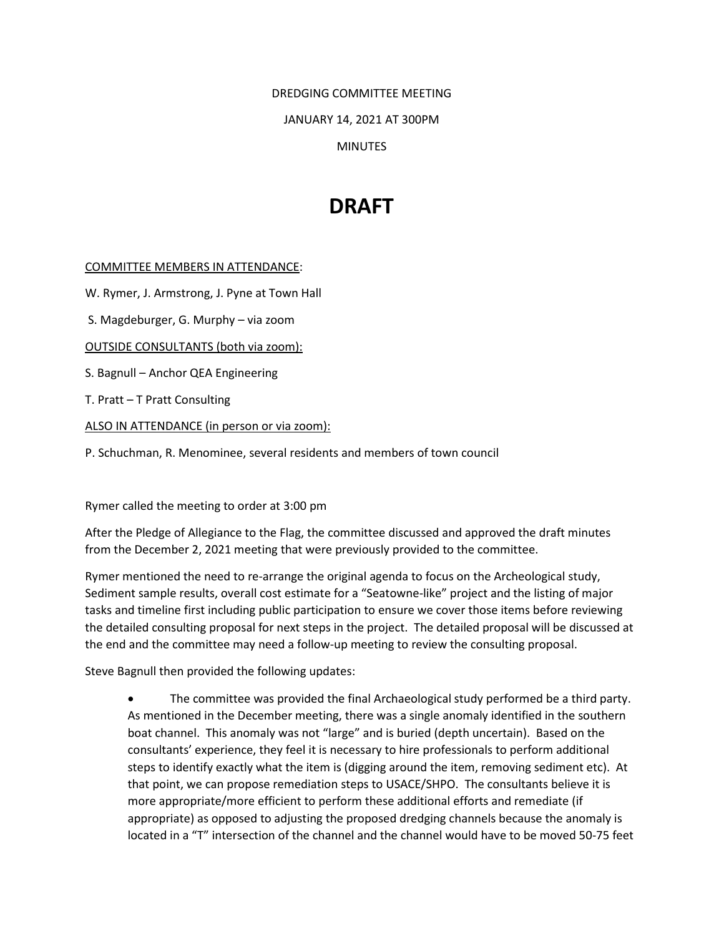DREDGING COMMITTEE MEETING

JANUARY 14, 2021 AT 300PM

**MINUTES** 

## **DRAFT**

## COMMITTEE MEMBERS IN ATTENDANCE:

W. Rymer, J. Armstrong, J. Pyne at Town Hall

S. Magdeburger, G. Murphy – via zoom

OUTSIDE CONSULTANTS (both via zoom):

S. Bagnull – Anchor QEA Engineering

T. Pratt – T Pratt Consulting

ALSO IN ATTENDANCE (in person or via zoom):

P. Schuchman, R. Menominee, several residents and members of town council

Rymer called the meeting to order at 3:00 pm

After the Pledge of Allegiance to the Flag, the committee discussed and approved the draft minutes from the December 2, 2021 meeting that were previously provided to the committee.

Rymer mentioned the need to re-arrange the original agenda to focus on the Archeological study, Sediment sample results, overall cost estimate for a "Seatowne-like" project and the listing of major tasks and timeline first including public participation to ensure we cover those items before reviewing the detailed consulting proposal for next steps in the project. The detailed proposal will be discussed at the end and the committee may need a follow-up meeting to review the consulting proposal.

Steve Bagnull then provided the following updates:

• The committee was provided the final Archaeological study performed be a third party. As mentioned in the December meeting, there was a single anomaly identified in the southern boat channel. This anomaly was not "large" and is buried (depth uncertain). Based on the consultants' experience, they feel it is necessary to hire professionals to perform additional steps to identify exactly what the item is (digging around the item, removing sediment etc). At that point, we can propose remediation steps to USACE/SHPO. The consultants believe it is more appropriate/more efficient to perform these additional efforts and remediate (if appropriate) as opposed to adjusting the proposed dredging channels because the anomaly is located in a "T" intersection of the channel and the channel would have to be moved 50-75 feet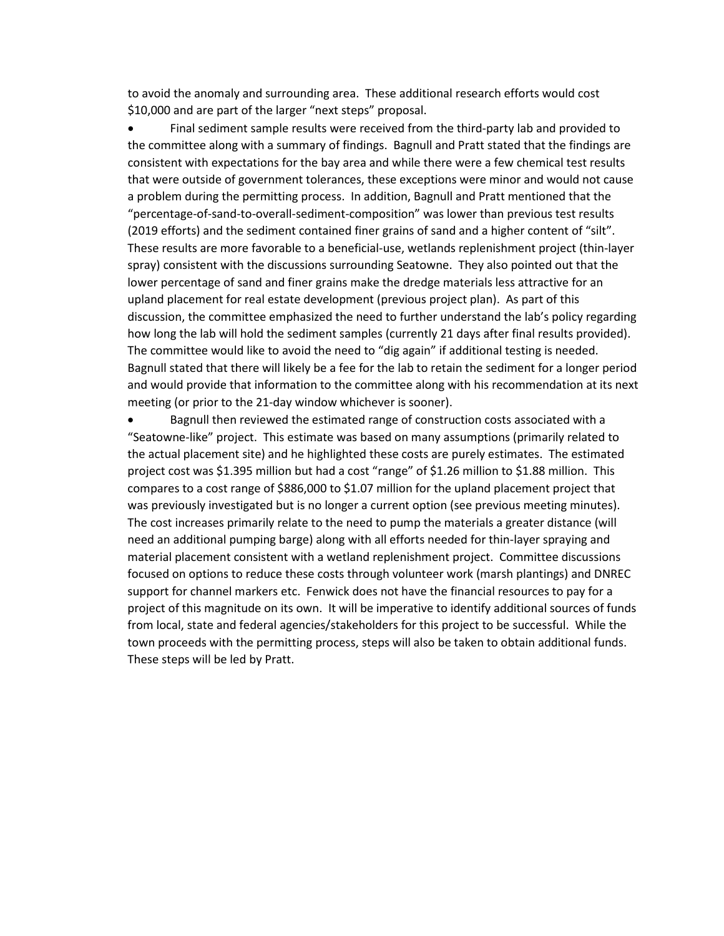to avoid the anomaly and surrounding area. These additional research efforts would cost \$10,000 and are part of the larger "next steps" proposal.

• Final sediment sample results were received from the third-party lab and provided to the committee along with a summary of findings. Bagnull and Pratt stated that the findings are consistent with expectations for the bay area and while there were a few chemical test results that were outside of government tolerances, these exceptions were minor and would not cause a problem during the permitting process. In addition, Bagnull and Pratt mentioned that the "percentage-of-sand-to-overall-sediment-composition" was lower than previous test results (2019 efforts) and the sediment contained finer grains of sand and a higher content of "silt". These results are more favorable to a beneficial-use, wetlands replenishment project (thin-layer spray) consistent with the discussions surrounding Seatowne. They also pointed out that the lower percentage of sand and finer grains make the dredge materials less attractive for an upland placement for real estate development (previous project plan). As part of this discussion, the committee emphasized the need to further understand the lab's policy regarding how long the lab will hold the sediment samples (currently 21 days after final results provided). The committee would like to avoid the need to "dig again" if additional testing is needed. Bagnull stated that there will likely be a fee for the lab to retain the sediment for a longer period and would provide that information to the committee along with his recommendation at its next meeting (or prior to the 21-day window whichever is sooner).

• Bagnull then reviewed the estimated range of construction costs associated with a "Seatowne-like" project. This estimate was based on many assumptions (primarily related to the actual placement site) and he highlighted these costs are purely estimates. The estimated project cost was \$1.395 million but had a cost "range" of \$1.26 million to \$1.88 million. This compares to a cost range of \$886,000 to \$1.07 million for the upland placement project that was previously investigated but is no longer a current option (see previous meeting minutes). The cost increases primarily relate to the need to pump the materials a greater distance (will need an additional pumping barge) along with all efforts needed for thin-layer spraying and material placement consistent with a wetland replenishment project. Committee discussions focused on options to reduce these costs through volunteer work (marsh plantings) and DNREC support for channel markers etc. Fenwick does not have the financial resources to pay for a project of this magnitude on its own. It will be imperative to identify additional sources of funds from local, state and federal agencies/stakeholders for this project to be successful. While the town proceeds with the permitting process, steps will also be taken to obtain additional funds. These steps will be led by Pratt.